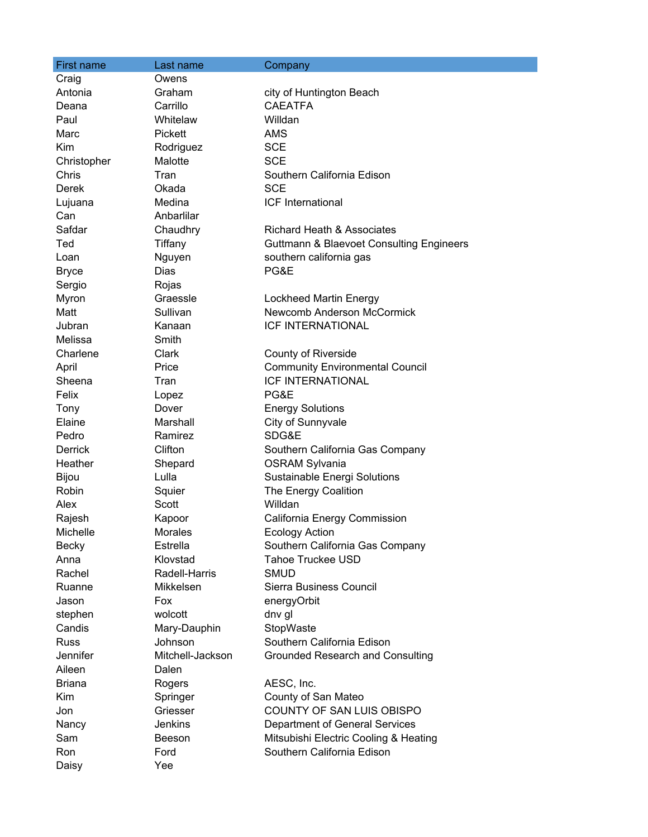| <b>First name</b> | Last name        | Company                                             |
|-------------------|------------------|-----------------------------------------------------|
| Craig             | Owens            |                                                     |
| Antonia           | Graham           | city of Huntington Beach                            |
| Deana             | Carrillo         | <b>CAEATFA</b>                                      |
| Paul              | Whitelaw         | Willdan                                             |
| Marc              | <b>Pickett</b>   | <b>AMS</b>                                          |
| Kim               | Rodriguez        | <b>SCE</b>                                          |
| Christopher       | Malotte          | <b>SCE</b>                                          |
| Chris             | Tran             | Southern California Edison                          |
| Derek             | Okada            | <b>SCE</b>                                          |
| Lujuana           | Medina           | ICF International                                   |
| Can               | Anbarlilar       |                                                     |
| Safdar            | Chaudhry         | Richard Heath & Associates                          |
| Ted               | Tiffany          | <b>Guttmann &amp; Blaevoet Consulting Engineers</b> |
| Loan              | Nguyen           | southern california gas                             |
| <b>Bryce</b>      | <b>Dias</b>      | PG&E                                                |
| Sergio            | Rojas            |                                                     |
| Myron             | Graessle         | Lockheed Martin Energy                              |
| Matt              | Sullivan         | Newcomb Anderson McCormick                          |
| Jubran            | Kanaan           | <b>ICF INTERNATIONAL</b>                            |
| Melissa           | Smith            |                                                     |
| Charlene          | Clark            | <b>County of Riverside</b>                          |
| April             | Price            | <b>Community Environmental Council</b>              |
| Sheena            | Tran             | <b>ICF INTERNATIONAL</b>                            |
| Felix             | Lopez            | PG&E                                                |
| Tony              | Dover            | <b>Energy Solutions</b>                             |
| Elaine            | Marshall         | City of Sunnyvale                                   |
| Pedro             | Ramirez          | SDG&E                                               |
| <b>Derrick</b>    | Clifton          | Southern California Gas Company                     |
| Heather           | Shepard          | <b>OSRAM Sylvania</b>                               |
| Bijou             | Lulla            | Sustainable Energi Solutions                        |
| <b>Robin</b>      | Squier           | The Energy Coalition                                |
| Alex              | Scott            | Willdan                                             |
| Rajesh            | Kapoor           | California Energy Commission                        |
| Michelle          | Morales          | Ecology Action                                      |
| <b>Becky</b>      | Estrella         | Southern California Gas Company                     |
| Anna              | Klovstad         | <b>Tahoe Truckee USD</b>                            |
| Rachel            | Radell-Harris    | <b>SMUD</b>                                         |
| Ruanne            | Mikkelsen        | Sierra Business Council                             |
| Jason             | Fox              | energyOrbit                                         |
| stephen           | wolcott          | dnv gl                                              |
| Candis            | Mary-Dauphin     | StopWaste                                           |
| <b>Russ</b>       | Johnson          | Southern California Edison                          |
| Jennifer          | Mitchell-Jackson | <b>Grounded Research and Consulting</b>             |
| Aileen            | Dalen            |                                                     |
| <b>Briana</b>     | Rogers           | AESC, Inc.                                          |
| <b>Kim</b>        | Springer         | County of San Mateo                                 |
| Jon               | Griesser         | COUNTY OF SAN LUIS OBISPO                           |
| Nancy             | Jenkins          | Department of General Services                      |
| Sam               | Beeson           | Mitsubishi Electric Cooling & Heating               |
| Ron               | Ford             | Southern California Edison                          |
| Daisy             | Yee              |                                                     |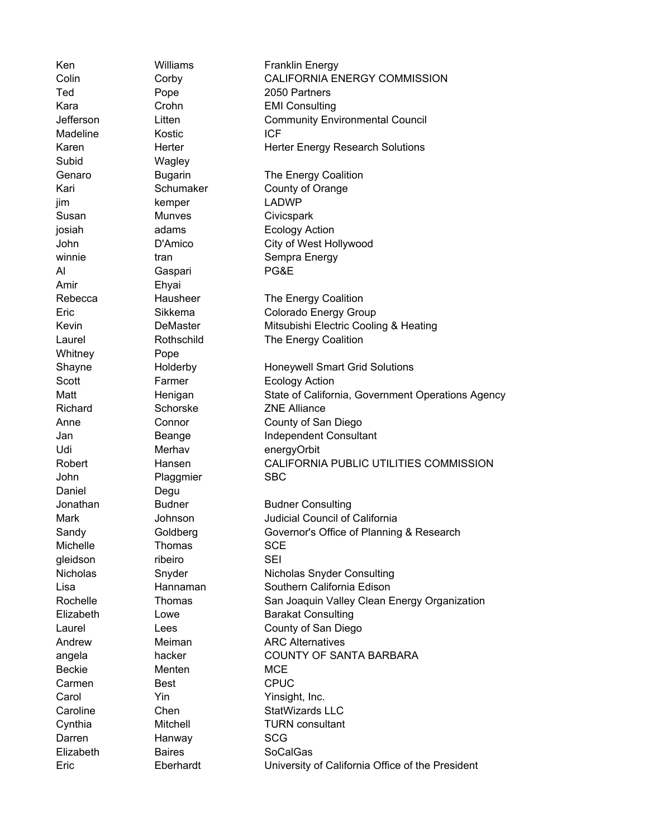Ken Williams Franklin Energy Colin Corby CALIFORNIA ENERGY COMMISSION Ted Pope 2050 Partners Kara Crohn EMI Consulting Jefferson Litten Community Environmental Council Madeline **Kostic ICF** Karen **Herter** Herter Herter Energy Research Solutions Subid Wagley Genaro **Bugarin** The Energy Coalition Kari Schumaker County of Orange jim kemper LADWP Susan Munves Civicspark josiah adams Ecology Action John D'Amico City of West Hollywood winnie tran tran Sempra Energy Al Gaspari PG&E Amir Ehyai Rebecca **Hausheer** The Energy Coalition Eric Sikkema Colorado Energy Group Kevin **DeMaster** Mitsubishi Electric Cooling & Heating Laurel **Rothschild** The Energy Coalition Whitney **Pope** Shayne **Holderby** Honeywell Smart Grid Solutions Scott **Farmer** Ecology Action Matt Matt Henigan State of California, Government Operations Agency Richard Schorske **ZNE Alliance** Anne Connor County of San Diego Jan Beange Independent Consultant Udi Merhav energyOrbit Robert Hansen CALIFORNIA PUBLIC UTILITIES COMMISSION John Plaggmier SBC Daniel Degu Jonathan Budner Budner Consulting Mark Johnson Judicial Council of California Sandy Goldberg Governor's Office of Planning & Research Michelle **Thomas** SCE gleidson ribeiro SEI Nicholas Snyder Nicholas Snyder Consulting Lisa Hannaman Southern California Edison Rochelle **Thomas** San Joaquin Valley Clean Energy Organization Elizabeth Lowe Barakat Consulting Laurel Lees County of San Diego Andrew Meiman ARC Alternatives angela hacker COUNTY OF SANTA BARBARA Beckie Menten MCE Carmen Best CPUC Carol **Yin** Yin Yinsight, Inc. Caroline Chen Chen StatWizards LLC Cynthia Mitchell TURN consultant Darren Hanway SCG Elizabeth Baires SoCalGas Eric Eberhardt University of California Office of the President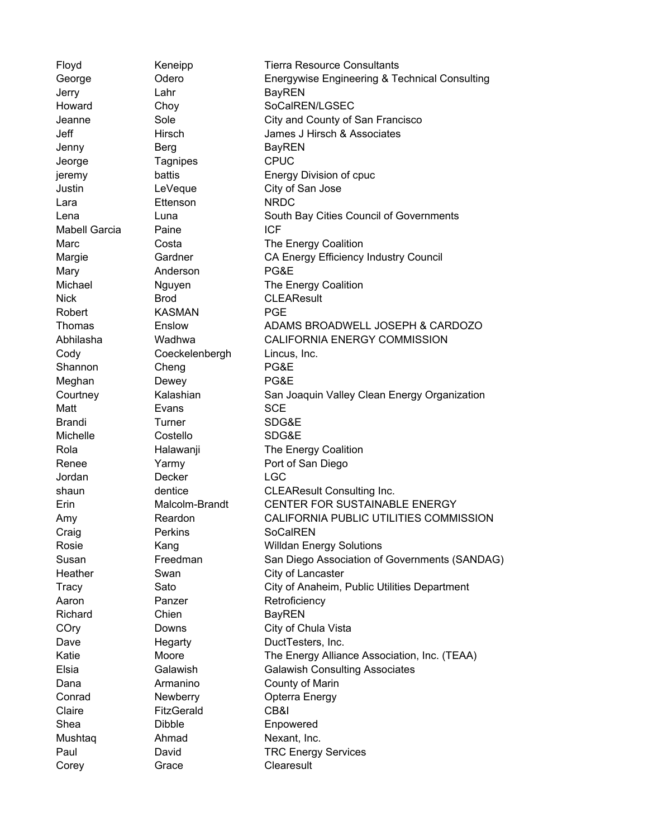Floyd Keneipp Tierra Resource Consultants George Odero Energywise Engineering & Technical Consulting Jerry Lahr Lahr BayREN Howard Choy SoCalREN/LGSEC Jeanne Sole City and County of San Francisco Jeff Hirsch James J Hirsch & Associates Jenny Berg BayREN Jeorge Tagnipes CPUC jeremy battis Energy Division of cpuc Justin LeVeque City of San Jose Lara **Ettenson** NRDC Lena Luna South Bay Cities Council of Governments Mabell Garcia Paine **ICF** Marc Costa **Costa** The Energy Coalition Margie **Gardner** CA Energy Efficiency Industry Council Mary **Anderson** PG&E Michael Miguyen The Energy Coalition Nick Brod CLEAResult Robert **KASMAN** PGE Thomas Enslow ADAMS BROADWELL JOSEPH & CARDOZO Abhilasha Wadhwa CALIFORNIA ENERGY COMMISSION Cody Coeckelenbergh Lincus, Inc. Shannon Cheng PG&E Meghan Dewey **PG&E** Courtney **Kalashian** San Joaquin Valley Clean Energy Organization Matt **Evans** Evans SCE Brandi Turner SDG&E Michelle Costello SDG&E Rola **Halawanji** The Energy Coalition Renee Yarmy Port of San Diego Jordan Decker LGC shaun dentice CLEAResult Consulting Inc. Erin Malcolm-Brandt CENTER FOR SUSTAINABLE ENERGY Amy **Reardon** CALIFORNIA PUBLIC UTILITIES COMMISSION Craig Perkins SoCalREN Rosie Kang Willdan Energy Solutions Susan Freedman San Diego Association of Governments (SANDAG) Heather Swan Swan City of Lancaster Tracy Sato City of Anaheim, Public Utilities Department Aaron **Panzer** Panzer Retroficiency Richard Chien BayREN COry Downs City of Chula Vista Dave **Hegarty** DuctTesters, Inc. Katie Moore The Energy Alliance Association, Inc. (TEAA) Elsia Galawish Galawish Consulting Associates Dana **Armanino** County of Marin Conrad **Newberry** Opterra Energy Claire FitzGerald CB&I Shea Dibble Enpowered Mushtaq **Ahmad** Nexant, Inc. Paul David David TRC Energy Services Corey Grace Clearesult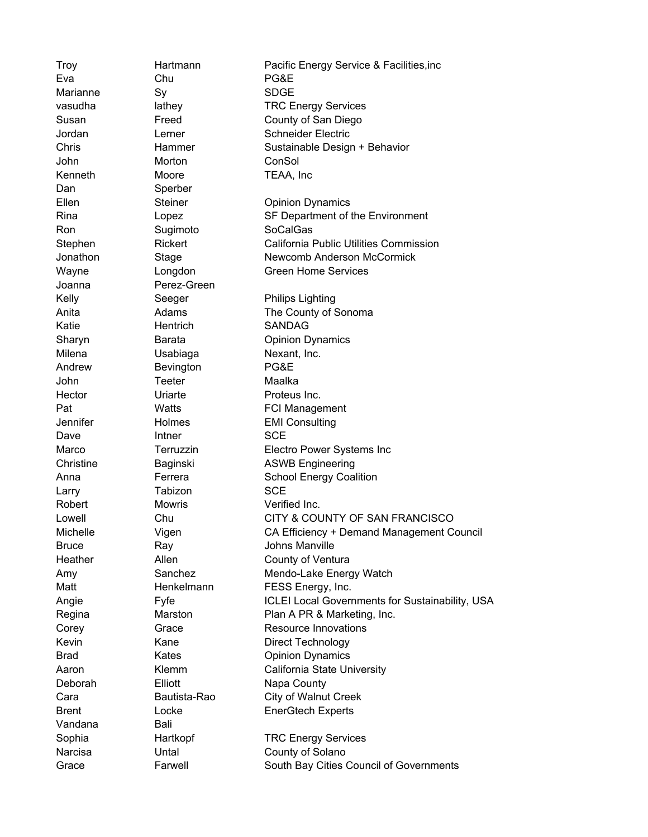Troy Hartmann Pacific Energy Service & Facilities,inc Eva Chu PG&E Marianne Sy SDGE vasudha lathey TRC Energy Services Susan Freed County of San Diego Jordan **Lerner** Schneider Electric Chris Hammer Sustainable Design + Behavior John Morton ConSol Kenneth Moore TEAA, Inc Dan Sperber Ellen Steiner Opinion Dynamics Rina Copez Copez SF Department of the Environment Ron Sugimoto SoCalGas Stephen Rickert California Public Utilities Commission Jonathon Stage Newcomb Anderson McCormick Wayne **Longdon** Creen Home Services Joanna Perez-Green Kelly Seeger Philips Lighting Anita **Adams** Adams The County of Sonoma Katie Hentrich SANDAG Sharyn **Barata Communisty** Opinion Dynamics Milena Usabiaga Nexant, Inc. Andrew Bevington PG&E John Teeter Maalka Hector **Uriarte Proteus Inc.** Pat Watts **FCI Management** Jennifer Holmes EMI Consulting Dave **Intner** SCE Marco Terruzzin Electro Power Systems Inc Christine Baginski ASWB Engineering Anna **Ferrera** School Energy Coalition Larry Tabizon SCE Robert Mowris Verified Inc. Lowell Chu CITY & COUNTY OF SAN FRANCISCO Michelle Vigen CA Efficiency + Demand Management Council Bruce Ray Ray Johns Manville Heather **Allen** Allen **County of Ventura** Amy Sanchez Mendo-Lake Energy Watch Matt Henkelmann FESS Energy, Inc. Angie **Fyfe** Fyfe ICLEI Local Governments for Sustainability, USA Regina Marston Plan A PR & Marketing, Inc. Corey Grace Resource Innovations Kevin Kane Direct Technology Brad Kates **Communist Communist Communist Communist Communist Communist Communist Communist Communist Communist Communist Communist Communist Communist Communist Communist Communist Communist Communist Communist Communist** Aaron Klemm California State University Deborah Elliott Napa County Cara Bautista-Rao City of Walnut Creek Brent Locke EnerGtech Experts Vandana **Bali** Sophia **Hartkopf** TRC Energy Services Narcisa **Untal** Untal County of Solano Grace Farwell South Bay Cities Council of Governments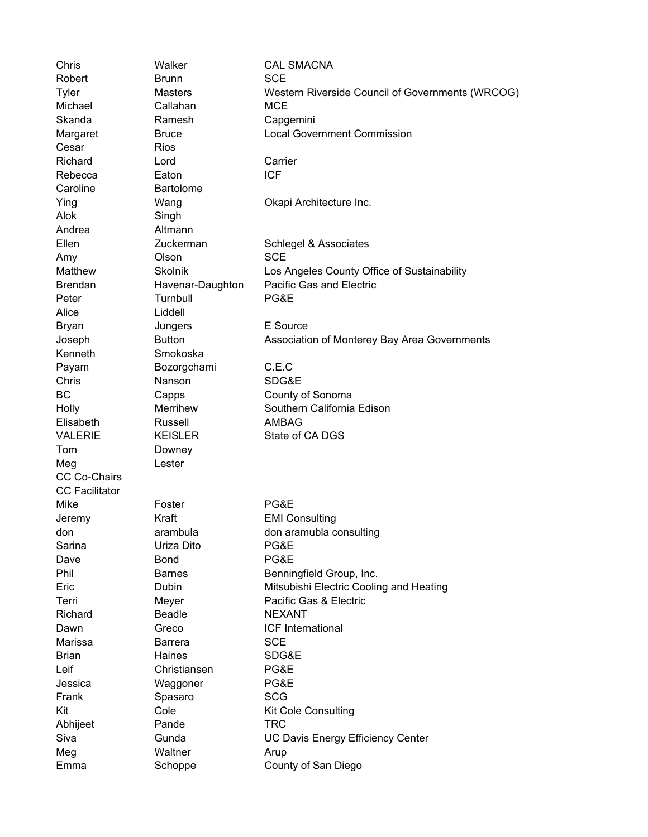Chris Walker CAL SMACNA Robert Brunn SCE Tyler Masters Western Riverside Council of Governments (WRCOG) Michael Callahan MCE Skanda Ramesh Capgemini Margaret **Bruce** Bruce **Local Government Commission** Cesar Rios Richard Lord Carrier Rebecca Eaton ICF Caroline **Bartolome** Ying Wang Wang Okapi Architecture Inc. Alok Singh Andrea Altmann Ellen Zuckerman Schlegel & Associates Amy Olson SCE Matthew Skolnik Los Angeles County Office of Sustainability Brendan Havenar-Daughton Pacific Gas and Electric Peter Turnbull PG&E Alice Liddell Bryan Jungers E Source Joseph Button Association of Monterey Bay Area Governments Kenneth Smokoska Payam Bozorgchami C.E.C Chris Nanson SDG&E BC Capps Capps County of Sonoma Holly Merrihew Southern California Edison Elisabeth Russell AMBAG VALERIE KEISLER State of CA DGS Tom Downey Meg **Lester** CC Co-Chairs CC Facilitator Mike Foster PG&E Jeremy Kraft EMI Consulting don arambula don aramubla consulting Sarina **Uriza Dito** PG&E Dave Bond **PG&E** Phil Barnes Barnes Benningfield Group, Inc. Eric Dubin Mitsubishi Electric Cooling and Heating Terri Meyer Pacific Gas & Electric Richard **Beadle** NEXANT Dawn Greco ICF International Marissa Barrera SCE Brian Haines SDG&E Leif Christiansen PG&E Jessica Waggoner PG&E Frank Spasaro SCG Kit Cole Cole Kit Cole Consulting Abhijeet Pande TRC Siva Gunda UC Davis Energy Efficiency Center Meg Waltner Arup Emma Schoppe County of San Diego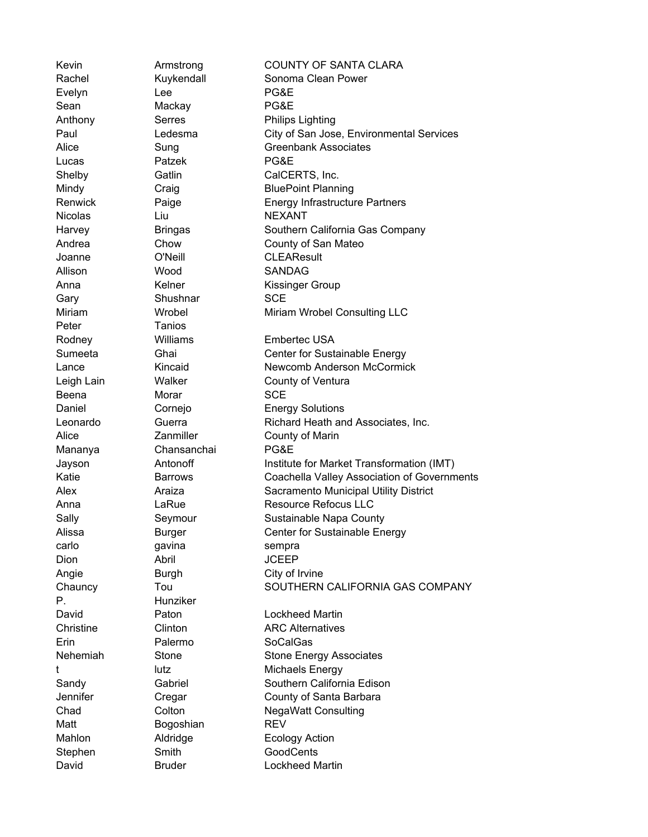Kevin **Armstrong COUNTY OF SANTA CLARA** Rachel **Kuykendall** Sonoma Clean Power Evelyn Lee PG&E Sean Mackay PG&E Anthony Serres Philips Lighting Paul Ledesma City of San Jose, Environmental Services Alice Sung Sung Greenbank Associates Lucas Patzek PG&E Shelby Gatlin CalCERTS, Inc. Mindy Craig Craig BluePoint Planning Renwick Paige **Paige** Energy Infrastructure Partners Nicolas Liu Liu NEXANT Harvey **Bringas** Southern California Gas Company Andrea Chow County of San Mateo Joanne O'Neill CLEAResult Allison Wood SANDAG Anna Kelner Kissinger Group Gary Shushnar SCE Miriam Wrobel Miriam Wrobel Consulting LLC Peter Tanios Rodney Williams Embertec USA Sumeeta **Ghai** Ghai Center for Sustainable Energy Lance **Kincaid** Kincaid Newcomb Anderson McCormick Leigh Lain **Walker** County of Ventura Beena Morar SCE Daniel Cornejo Energy Solutions Leonardo Guerra Richard Heath and Associates, Inc. Alice **Zanmiller** County of Marin Mananya Chansanchai PG&E Jayson Antonoff Institute for Market Transformation (IMT) Katie Barrows Coachella Valley Association of Governments Alex Araiza Sacramento Municipal Utility District Anna LaRue **Communist LaRue** Resource Refocus LLC Sally Seymour Sustainable Napa County Alissa **Burger** Center for Sustainable Energy carlo carlo qavina sempra Dion Abril JCEEP Angie Burgh City of Irvine Chauncy Tou SOUTHERN CALIFORNIA GAS COMPANY P. Hunziker David Paton Lockheed Martin Christine Clinton ARC Alternatives Erin Palermo SoCalGas Nehemiah Stone Stone Energy Associates t lutz lutz Michaels Energy Sandy Gabriel Southern California Edison Jennifer Cregar County of Santa Barbara Chad Colton Colton NegaWatt Consulting Matt Bogoshian REV Mahlon **Aldridge Ecology Action** Stephen Smith GoodCents David **Bruder** Bruder **Lockheed Martin**